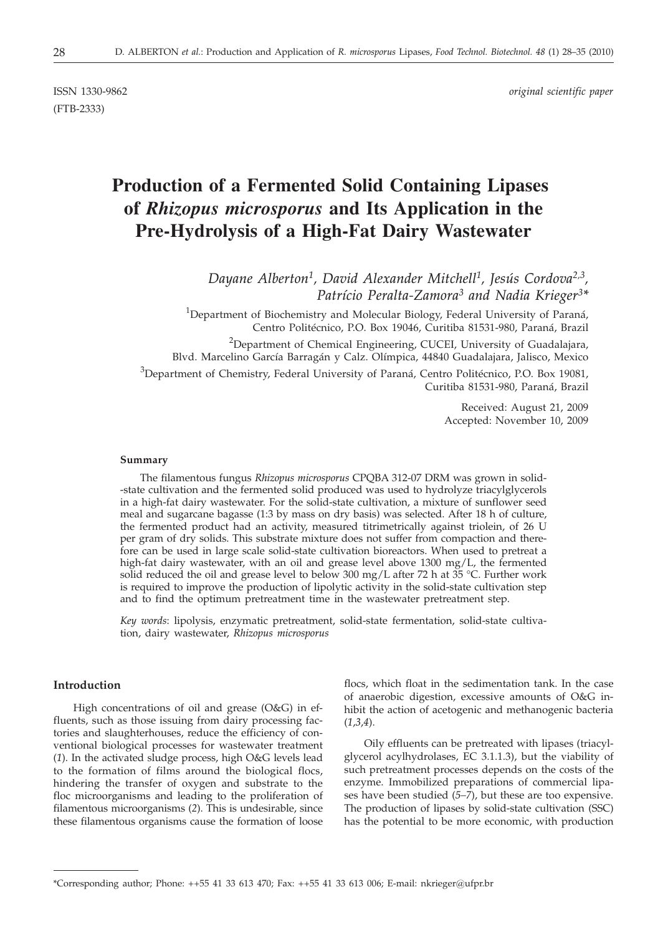(FTB-2333)

ISSN 1330-9862 *original scientific paper*

# **Production of a Fermented Solid Containing Lipases of** *Rhizopus microsporus* **and Its Application in the Pre-Hydrolysis of a High-Fat Dairy Wastewater**

*Dayane Alberton1, David Alexander Mitchell1, Jesús Cordova2,3, Patrício Peralta-Zamora3 and Nadia Krieger3\**

<sup>1</sup>Department of Biochemistry and Molecular Biology, Federal University of Paraná, Centro Politécnico, P.O. Box 19046, Curitiba 81531-980, Paraná, Brazil

<sup>2</sup>Department of Chemical Engineering, CUCEI, University of Guadalajara, Blvd. Marcelino García Barragán y Calz. Olímpica, 44840 Guadalajara, Jalisco, Mexico

<sup>3</sup>Department of Chemistry, Federal University of Paraná, Centro Politécnico, P.O. Box 19081, Curitiba 81531-980, Paraná, Brazil

> Received: August 21, 2009 Accepted: November 10, 2009

#### **Summary**

The filamentous fungus *Rhizopus microsporus* CPQBA 312-07 DRM was grown in solid- -state cultivation and the fermented solid produced was used to hydrolyze triacylglycerols in a high-fat dairy wastewater. For the solid-state cultivation, a mixture of sunflower seed meal and sugarcane bagasse (1:3 by mass on dry basis) was selected. After 18 h of culture, the fermented product had an activity, measured titrimetrically against triolein, of 26 U per gram of dry solids. This substrate mixture does not suffer from compaction and therefore can be used in large scale solid-state cultivation bioreactors. When used to pretreat a high-fat dairy wastewater, with an oil and grease level above 1300 mg/L, the fermented solid reduced the oil and grease level to below 300 mg/L after 72 h at 35 °C. Further work is required to improve the production of lipolytic activity in the solid-state cultivation step and to find the optimum pretreatment time in the wastewater pretreatment step.

*Key words*: lipolysis, enzymatic pretreatment, solid-state fermentation, solid-state cultivation, dairy wastewater, *Rhizopus microsporus*

## **Introduction**

High concentrations of oil and grease (O&G) in effluents, such as those issuing from dairy processing factories and slaughterhouses, reduce the efficiency of conventional biological processes for wastewater treatment (*1*). In the activated sludge process, high O&G levels lead to the formation of films around the biological flocs, hindering the transfer of oxygen and substrate to the floc microorganisms and leading to the proliferation of filamentous microorganisms (*2*). This is undesirable, since these filamentous organisms cause the formation of loose

flocs, which float in the sedimentation tank. In the case of anaerobic digestion, excessive amounts of O&G inhibit the action of acetogenic and methanogenic bacteria (*1*,*3*,*4*).

Oily effluents can be pretreated with lipases (triacylglycerol acylhydrolases, EC 3.1.1.3), but the viability of such pretreatment processes depends on the costs of the enzyme. Immobilized preparations of commercial lipases have been studied (*5–7*), but these are too expensive. The production of lipases by solid-state cultivation (SSC) has the potential to be more economic, with production

<sup>\*</sup>Corresponding author; Phone: ++55 41 33 613 470; Fax: ++55 41 33 613 006; E-mail: nkrieger@ufpr.br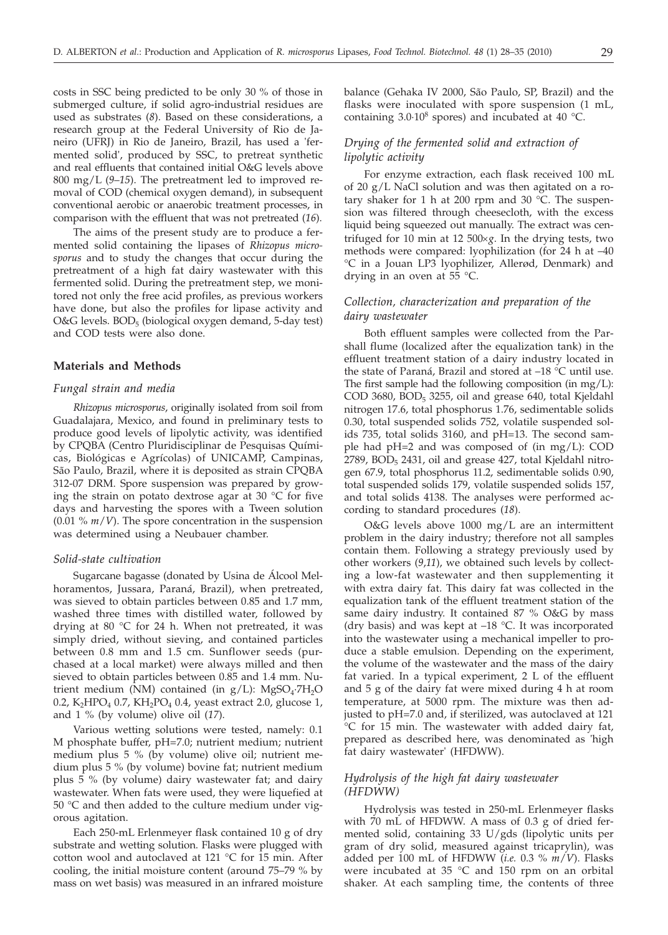costs in SSC being predicted to be only 30 % of those in submerged culture, if solid agro-industrial residues are used as substrates (*8*). Based on these considerations, a research group at the Federal University of Rio de Janeiro (UFRJ) in Rio de Janeiro, Brazil, has used a 'fermented solid', produced by SSC, to pretreat synthetic and real effluents that contained initial O&G levels above 800 mg/L (*9*–*15*). The pretreatment led to improved removal of COD (chemical oxygen demand), in subsequent conventional aerobic or anaerobic treatment processes, in comparison with the effluent that was not pretreated (*16*).

The aims of the present study are to produce a fermented solid containing the lipases of *Rhizopus microsporus* and to study the changes that occur during the pretreatment of a high fat dairy wastewater with this fermented solid. During the pretreatment step, we monitored not only the free acid profiles, as previous workers have done, but also the profiles for lipase activity and  $O&G$  levels.  $BOD<sub>5</sub>$  (biological oxygen demand, 5-day test) and COD tests were also done.

## **Materials and Methods**

#### *Fungal strain and media*

*Rhizopus microsporus*, originally isolated from soil from Guadalajara, Mexico, and found in preliminary tests to produce good levels of lipolytic activity, was identified by CPQBA (Centro Pluridisciplinar de Pesquisas Químicas, Biológicas e Agrícolas) of UNICAMP, Campinas, São Paulo, Brazil, where it is deposited as strain CPQBA 312-07 DRM. Spore suspension was prepared by growing the strain on potato dextrose agar at 30 °C for five days and harvesting the spores with a Tween solution (0.01 % *m*/*V*). The spore concentration in the suspension was determined using a Neubauer chamber.

#### *Solid-state cultivation*

Sugarcane bagasse (donated by Usina de Álcool Melhoramentos, Jussara, Paraná, Brazil), when pretreated, was sieved to obtain particles between 0.85 and 1.7 mm, washed three times with distilled water, followed by drying at 80 °C for 24 h. When not pretreated, it was simply dried, without sieving, and contained particles between 0.8 mm and 1.5 cm. Sunflower seeds (purchased at a local market) were always milled and then sieved to obtain particles between 0.85 and 1.4 mm. Nutrient medium (NM) contained (in  $g/L$ ): MgSO<sub>4</sub>·7H<sub>2</sub>O 0.2, K<sub>2</sub>HPO<sub>4</sub> 0.7, KH<sub>2</sub>PO<sub>4</sub> 0.4, yeast extract 2.0, glucose 1, and 1 % (by volume) olive oil (*17*).

Various wetting solutions were tested, namely: 0.1 M phosphate buffer, pH=7.0; nutrient medium; nutrient medium plus 5 % (by volume) olive oil; nutrient medium plus 5 % (by volume) bovine fat; nutrient medium plus 5 % (by volume) dairy wastewater fat; and dairy wastewater. When fats were used, they were liquefied at 50 °C and then added to the culture medium under vigorous agitation.

Each 250-mL Erlenmeyer flask contained 10 g of dry substrate and wetting solution. Flasks were plugged with cotton wool and autoclaved at 121 °C for 15 min. After cooling, the initial moisture content (around 75–79 % by mass on wet basis) was measured in an infrared moisture balance (Gehaka IV 2000, São Paulo, SP, Brazil) and the flasks were inoculated with spore suspension (1 mL, containing  $3.0 \cdot 10^8$  spores) and incubated at 40 °C.

# *Drying of the fermented solid and extraction of lipolytic activity*

For enzyme extraction, each flask received 100 mL of 20 g/L NaCl solution and was then agitated on a rotary shaker for 1 h at 200 rpm and 30  $\degree$ C. The suspension was filtered through cheesecloth, with the excess liquid being squeezed out manually. The extract was centrifuged for 10 min at 12 500×g. In the drying tests, two methods were compared: lyophilization (for 24 h at –40 °C in a Jouan LP3 lyophilizer, Allerød, Denmark) and drying in an oven at 55 °C.

# *Collection, characterization and preparation of the dairy wastewater*

Both effluent samples were collected from the Parshall flume (localized after the equalization tank) in the effluent treatment station of a dairy industry located in the state of Paraná, Brazil and stored at  $-18$  °C until use. The first sample had the following composition (in mg/L): COD 3680, BOD<sub>5</sub> 3255, oil and grease 640, total Kjeldahl nitrogen 17.6, total phosphorus 1.76, sedimentable solids 0.30, total suspended solids 752, volatile suspended solids 735, total solids 3160, and pH=13. The second sample had pH=2 and was composed of (in mg/L): COD  $2789$ ,  $BOD_5$  2431, oil and grease 427, total Kjeldahl nitrogen 67.9, total phosphorus 11.2, sedimentable solids 0.90, total suspended solids 179, volatile suspended solids 157, and total solids 4138. The analyses were performed according to standard procedures (*18*).

O&G levels above 1000 mg/L are an intermittent problem in the dairy industry; therefore not all samples contain them. Following a strategy previously used by other workers (*9*,*11*), we obtained such levels by collecting a low-fat wastewater and then supplementing it with extra dairy fat. This dairy fat was collected in the equalization tank of the effluent treatment station of the same dairy industry. It contained 87 % O&G by mass (dry basis) and was kept at  $-18$  °C. It was incorporated into the wastewater using a mechanical impeller to produce a stable emulsion. Depending on the experiment, the volume of the wastewater and the mass of the dairy fat varied. In a typical experiment, 2 L of the effluent and 5 g of the dairy fat were mixed during 4 h at room temperature, at 5000 rpm. The mixture was then adjusted to pH=7.0 and, if sterilized, was autoclaved at 121 °C for 15 min. The wastewater with added dairy fat, prepared as described here, was denominated as 'high fat dairy wastewater' (HFDWW).

## *Hydrolysis of the high fat dairy wastewater (HFDWW)*

Hydrolysis was tested in 250-mL Erlenmeyer flasks with 70 mL of HFDWW. A mass of 0.3 g of dried fermented solid, containing 33 U/gds (lipolytic units per gram of dry solid, measured against tricaprylin), was added per 100 mL of HFDWW (*i.e.* 0.3 % *m*/*V*). Flasks were incubated at 35 °C and 150 rpm on an orbital shaker. At each sampling time, the contents of three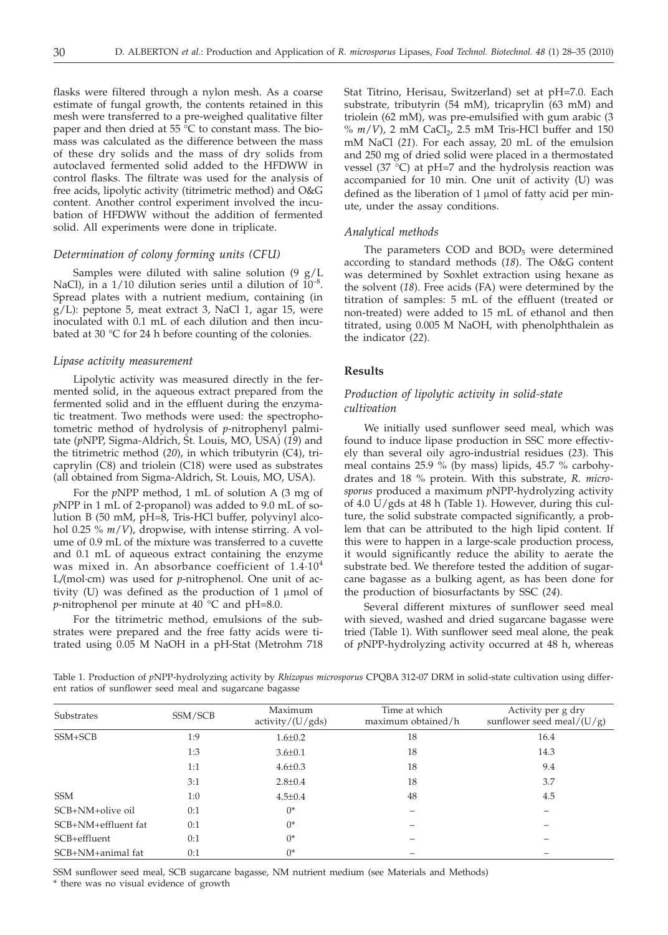flasks were filtered through a nylon mesh. As a coarse estimate of fungal growth, the contents retained in this mesh were transferred to a pre-weighed qualitative filter paper and then dried at 55 $\degree$ C to constant mass. The biomass was calculated as the difference between the mass of these dry solids and the mass of dry solids from autoclaved fermented solid added to the HFDWW in control flasks. The filtrate was used for the analysis of free acids, lipolytic activity (titrimetric method) and O&G content. Another control experiment involved the incubation of HFDWW without the addition of fermented solid. All experiments were done in triplicate.

#### *Determination of colony forming units (CFU)*

Samples were diluted with saline solution  $(9 \text{ g/L})$ NaCl), in a  $1/10$  dilution series until a dilution of  $10^{-8}$ . Spread plates with a nutrient medium, containing (in g/L): peptone 5, meat extract 3, NaCl 1, agar 15, were inoculated with 0.1 mL of each dilution and then incubated at 30 °C for 24 h before counting of the colonies.

#### *Lipase activity measurement*

Lipolytic activity was measured directly in the fermented solid, in the aqueous extract prepared from the fermented solid and in the effluent during the enzymatic treatment. Two methods were used: the spectrophotometric method of hydrolysis of *p*-nitrophenyl palmitate (*p*NPP, Sigma-Aldrich, St. Louis, MO, USA) (*19*) and the titrimetric method (*20*), in which tributyrin (C4), tricaprylin (C8) and triolein (C18) were used as substrates (all obtained from Sigma-Aldrich, St. Louis, MO, USA).

For the *p*NPP method, 1 mL of solution A (3 mg of *p*NPP in 1 mL of 2-propanol) was added to 9.0 mL of solution B (50 mM, pH=8, Tris-HCl buffer, polyvinyl alcohol 0.25 % *m*/*V*), dropwise, with intense stirring. A volume of 0.9 mL of the mixture was transferred to a cuvette and 0.1 mL of aqueous extract containing the enzyme was mixed in. An absorbance coefficient of 1.4.10<sup>4</sup> L*/*(mol·cm) was used for *p*-nitrophenol. One unit of activity (U) was defined as the production of  $1 \mu$ mol of *p*-nitrophenol per minute at  $40^{\circ}$ °C and pH=8.0.

For the titrimetric method, emulsions of the substrates were prepared and the free fatty acids were titrated using 0.05 M NaOH in a pH-Stat (Metrohm 718 Stat Titrino, Herisau, Switzerland) set at pH=7.0. Each substrate, tributyrin (54 mM), tricaprylin (63 mM) and triolein (62 mM), was pre-emulsified with gum arabic (3  $\%$   $m/V$ ), 2 mM CaCl<sub>2</sub>, 2.5 mM Tris-HCl buffer and 150 mM NaCl (*21*). For each assay, 20 mL of the emulsion and 250 mg of dried solid were placed in a thermostated vessel (37 $^{\circ}$ C) at pH=7 and the hydrolysis reaction was accompanied for 10 min. One unit of activity (U) was defined as the liberation of  $1 \mu$ mol of fatty acid per minute, under the assay conditions.

## *Analytical methods*

The parameters COD and  $BOD<sub>5</sub>$  were determined according to standard methods (*18*). The O&G content was determined by Soxhlet extraction using hexane as the solvent (*18*). Free acids (FA) were determined by the titration of samples: 5 mL of the effluent (treated or non-treated) were added to 15 mL of ethanol and then titrated, using 0.005 M NaOH, with phenolphthalein as the indicator (*22*).

#### **Results**

## *Production of lipolytic activity in solid-state cultivation*

We initially used sunflower seed meal, which was found to induce lipase production in SSC more effectively than several oily agro-industrial residues (*23*). This meal contains 25.9 % (by mass) lipids, 45.7 % carbohydrates and 18 % protein. With this substrate, *R. microsporus* produced a maximum *p*NPP-hydrolyzing activity of 4.0 U/gds at 48 h (Table 1). However, during this culture, the solid substrate compacted significantly, a problem that can be attributed to the high lipid content. If this were to happen in a large-scale production process, it would significantly reduce the ability to aerate the substrate bed. We therefore tested the addition of sugarcane bagasse as a bulking agent, as has been done for the production of biosurfactants by SSC (*24*).

Several different mixtures of sunflower seed meal with sieved, washed and dried sugarcane bagasse were tried (Table 1). With sunflower seed meal alone, the peak of *p*NPP-hydrolyzing activity occurred at 48 h, whereas

Table 1. Production of *p*NPP-hydrolyzing activity by *Rhizopus microsporus* CPQBA 312-07 DRM in solid-state cultivation using different ratios of sunflower seed meal and sugarcane bagasse

| Substrates          | SSM/SCB | Maximum<br>activity/(U/gds) | Time at which<br>maximum obtained/h | Activity per g dry<br>sunflower seed meal/ $(U/g)$ |
|---------------------|---------|-----------------------------|-------------------------------------|----------------------------------------------------|
| SSM+SCB             | 1:9     | $1.6 \pm 0.2$               | 18                                  | 16.4                                               |
|                     | 1:3     | $3.6 \pm 0.1$               | 18                                  | 14.3                                               |
|                     | 1:1     | $4.6 \pm 0.3$               | 18                                  | 9.4                                                |
|                     | 3:1     | $2.8 \pm 0.4$               | 18                                  | 3.7                                                |
| <b>SSM</b>          | 1:0     | $4.5 \pm 0.4$               | 48                                  | 4.5                                                |
| SCB+NM+olive oil    | 0:1     | $0*$                        |                                     |                                                    |
| SCB+NM+effluent fat | 0:1     | $0*$                        |                                     |                                                    |
| SCB+effluent        | 0:1     | $()^*$                      |                                     |                                                    |
| SCB+NM+animal fat   | 0:1     | $0*$                        |                                     |                                                    |

SSM sunflower seed meal, SCB sugarcane bagasse, NM nutrient medium (see Materials and Methods)

\* there was no visual evidence of growth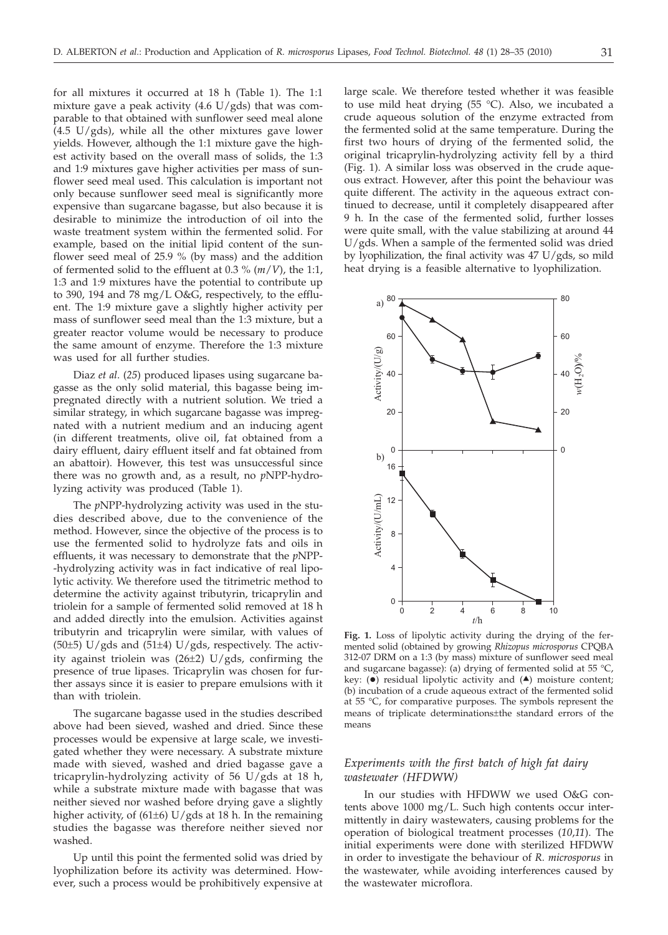for all mixtures it occurred at 18 h (Table 1). The 1:1 mixture gave a peak activity (4.6  $U/gds$ ) that was comparable to that obtained with sunflower seed meal alone  $(4.5 \text{ U/gds})$ , while all the other mixtures gave lower yields. However, although the 1:1 mixture gave the highest activity based on the overall mass of solids, the 1:3 and 1:9 mixtures gave higher activities per mass of sunflower seed meal used. This calculation is important not only because sunflower seed meal is significantly more expensive than sugarcane bagasse, but also because it is desirable to minimize the introduction of oil into the waste treatment system within the fermented solid. For example, based on the initial lipid content of the sunflower seed meal of 25.9 % (by mass) and the addition of fermented solid to the effluent at 0.3 % (*m*/*V*), the 1:1, 1:3 and 1:9 mixtures have the potential to contribute up to 390, 194 and 78 mg/L O&G, respectively, to the effluent. The 1:9 mixture gave a slightly higher activity per mass of sunflower seed meal than the 1:3 mixture, but a greater reactor volume would be necessary to produce the same amount of enzyme. Therefore the 1:3 mixture was used for all further studies.

Diaz *et al*. (*25*) produced lipases using sugarcane bagasse as the only solid material, this bagasse being impregnated directly with a nutrient solution. We tried a similar strategy, in which sugarcane bagasse was impregnated with a nutrient medium and an inducing agent (in different treatments, olive oil, fat obtained from a dairy effluent, dairy effluent itself and fat obtained from an abattoir). However, this test was unsuccessful since there was no growth and, as a result, no *p*NPP-hydrolyzing activity was produced (Table 1).

The *p*NPP-hydrolyzing activity was used in the studies described above, due to the convenience of the method. However, since the objective of the process is to use the fermented solid to hydrolyze fats and oils in effluents, it was necessary to demonstrate that the *p*NPP- -hydrolyzing activity was in fact indicative of real lipolytic activity. We therefore used the titrimetric method to determine the activity against tributyrin, tricaprylin and triolein for a sample of fermented solid removed at 18 h and added directly into the emulsion. Activities against tributyrin and tricaprylin were similar, with values of (50 $\pm$ 5) U/gds and (51 $\pm$ 4) U/gds, respectively. The activity against triolein was (26±2) U/gds, confirming the presence of true lipases. Tricaprylin was chosen for further assays since it is easier to prepare emulsions with it than with triolein.

The sugarcane bagasse used in the studies described above had been sieved, washed and dried. Since these processes would be expensive at large scale, we investigated whether they were necessary. A substrate mixture made with sieved, washed and dried bagasse gave a tricaprylin-hydrolyzing activity of 56 U/gds at 18 h, while a substrate mixture made with bagasse that was neither sieved nor washed before drying gave a slightly higher activity, of (61±6) U/gds at 18 h. In the remaining studies the bagasse was therefore neither sieved nor washed.

Up until this point the fermented solid was dried by lyophilization before its activity was determined. However, such a process would be prohibitively expensive at

large scale. We therefore tested whether it was feasible to use mild heat drying (55 °C). Also, we incubated a crude aqueous solution of the enzyme extracted from the fermented solid at the same temperature. During the first two hours of drying of the fermented solid, the original tricaprylin-hydrolyzing activity fell by a third (Fig. 1). A similar loss was observed in the crude aqueous extract. However, after this point the behaviour was quite different. The activity in the aqueous extract continued to decrease, until it completely disappeared after 9 h. In the case of the fermented solid, further losses were quite small, with the value stabilizing at around 44 U/gds. When a sample of the fermented solid was dried by lyophilization, the final activity was 47 U/gds, so mild heat drying is a feasible alternative to lyophilization.



**Fig. 1.** Loss of lipolytic activity during the drying of the fermented solid (obtained by growing *Rhizopus microsporus* CPQBA 312-07 DRM on a 1:3 (by mass) mixture of sunflower seed meal and sugarcane bagasse): (a) drying of fermented solid at 55 °C, key:  $(\bullet)$  residual lipolytic activity and  $(\bullet)$  moisture content: (b) incubation of a crude aqueous extract of the fermented solid at 55 °C, for comparative purposes. The symbols represent the means of triplicate determinations±the standard errors of the means

# *Experiments with the first batch of high fat dairy wastewater (HFDWW)*

In our studies with HFDWW we used O&G contents above 1000 mg/L. Such high contents occur intermittently in dairy wastewaters, causing problems for the operation of biological treatment processes (*10*,*11*). The initial experiments were done with sterilized HFDWW in order to investigate the behaviour of *R. microsporus* in the wastewater, while avoiding interferences caused by the wastewater microflora.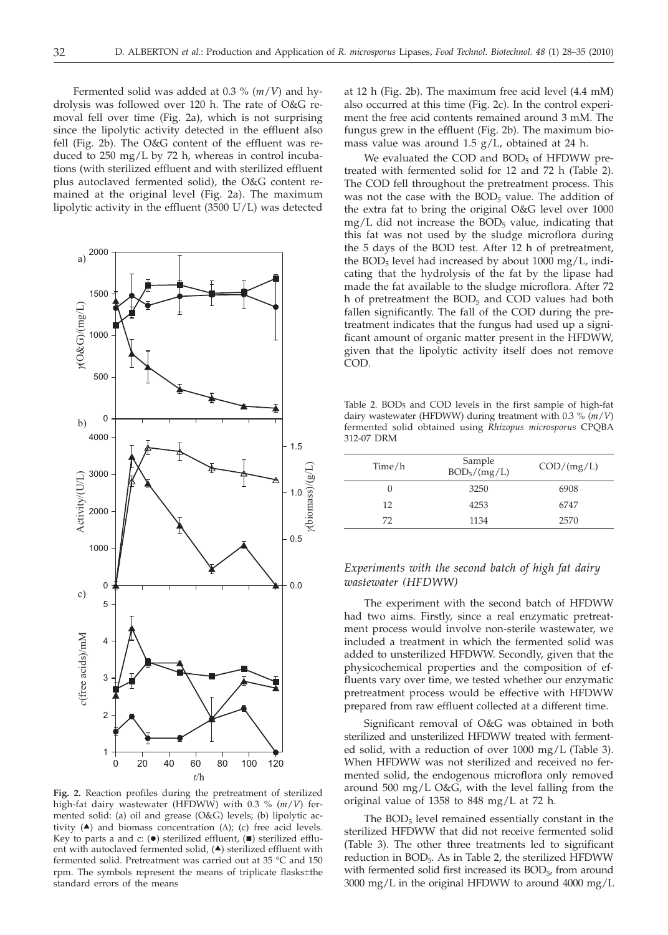Fermented solid was added at 0.3 % (*m*/*V*) and hydrolysis was followed over 120 h. The rate of O&G removal fell over time (Fig. 2a), which is not surprising since the lipolytic activity detected in the effluent also fell (Fig. 2b). The O&G content of the effluent was reduced to 250 mg/L by 72 h, whereas in control incubations (with sterilized effluent and with sterilized effluent plus autoclaved fermented solid), the O&G content remained at the original level (Fig. 2a). The maximum lipolytic activity in the effluent (3500 U/L) was detected



*g*(biomass)/(g/L)

 $v(bionnass)/(g/L)$ 

**Fig. 2.** Reaction profiles during the pretreatment of sterilized high-fat dairy wastewater (HFDWW) with 0.3 % (*m*/*V*) fermented solid: (a) oil and grease (O&G) levels; (b) lipolytic activity  $(A)$  and biomass concentration  $(\Delta)$ ; (c) free acid levels. Key to parts a and c: (.) sterilized effluent, (.) sterilized effluent with autoclaved fermented solid,  $($ <sup> $\blacktriangle)$ </sup> sterilized effluent with fermented solid. Pretreatment was carried out at 35 °C and 150 rpm. The symbols represent the means of triplicate flasks±the standard errors of the means

at 12 h (Fig. 2b). The maximum free acid level (4.4 mM) also occurred at this time (Fig. 2c). In the control experiment the free acid contents remained around 3 mM. The fungus grew in the effluent (Fig. 2b). The maximum biomass value was around 1.5 g/L, obtained at 24 h.

We evaluated the COD and  $BOD<sub>5</sub>$  of HFDWW pretreated with fermented solid for 12 and 72 h (Table 2). The COD fell throughout the pretreatment process. This was not the case with the  $BOD<sub>5</sub>$  value. The addition of the extra fat to bring the original O&G level over 1000  $mg/L$  did not increase the BOD<sub>5</sub> value, indicating that this fat was not used by the sludge microflora during the 5 days of the BOD test. After 12 h of pretreatment, the  $BOD<sub>5</sub>$  level had increased by about  $1000 \text{ mg/L}$ , indicating that the hydrolysis of the fat by the lipase had made the fat available to the sludge microflora. After 72 h of pretreatment the  $BOD<sub>5</sub>$  and COD values had both fallen significantly. The fall of the COD during the pretreatment indicates that the fungus had used up a significant amount of organic matter present in the HFDWW, given that the lipolytic activity itself does not remove COD.

Table 2. BOD5 and COD levels in the first sample of high-fat dairy wastewater (HFDWW) during treatment with 0.3 % (*m*/*V*) fermented solid obtained using *Rhizopus microsporus* CPQBA 312-07 DRM

| Time/h | Sample<br>$BOD_5/(mg/L)$ | $\text{COD}/\text{(mg/L)}$ |
|--------|--------------------------|----------------------------|
| 0      | 3250                     | 6908                       |
| 12     | 4253                     | 6747                       |
| 72     | 1134                     | 2570                       |

# *Experiments with the second batch of high fat dairy wastewater (HFDWW)*

The experiment with the second batch of HFDWW had two aims. Firstly, since a real enzymatic pretreatment process would involve non-sterile wastewater, we included a treatment in which the fermented solid was added to unsterilized HFDWW. Secondly, given that the physicochemical properties and the composition of effluents vary over time, we tested whether our enzymatic pretreatment process would be effective with HFDWW prepared from raw effluent collected at a different time.

Significant removal of O&G was obtained in both sterilized and unsterilized HFDWW treated with fermented solid, with a reduction of over 1000 mg/L (Table 3). When HFDWW was not sterilized and received no fermented solid, the endogenous microflora only removed around 500 mg/L O&G, with the level falling from the original value of 1358 to 848 mg/L at 72 h.

The BOD<sub>5</sub> level remained essentially constant in the sterilized HFDWW that did not receive fermented solid (Table 3). The other three treatments led to significant reduction in BOD<sub>5</sub>. As in Table 2, the sterilized HFDWW with fermented solid first increased its  $BOD_{5}$  from around 3000 mg/L in the original HFDWW to around 4000 mg/L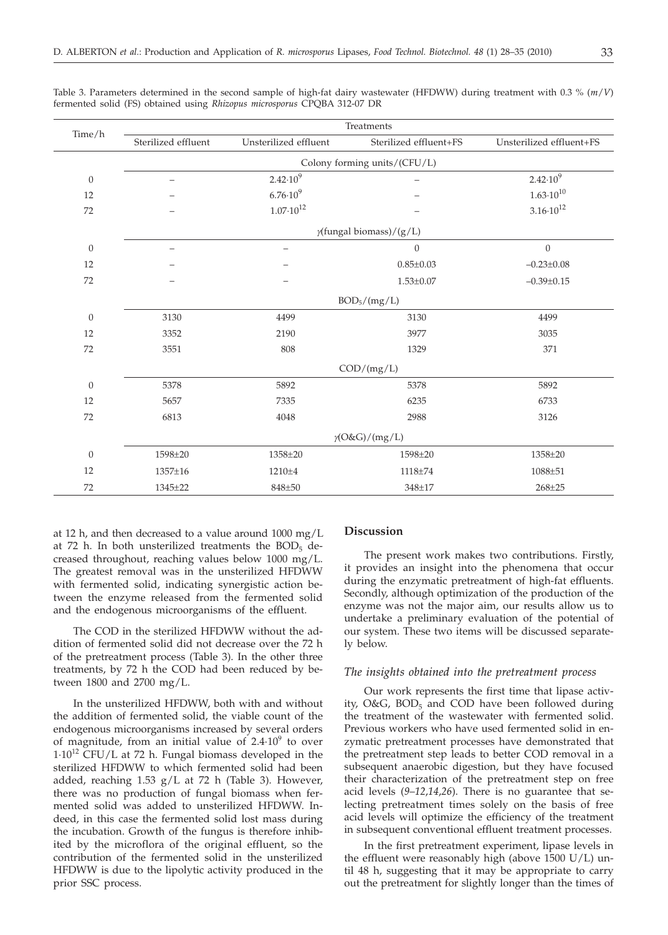| Time/h           | Treatments                      |                       |                        |                          |  |  |
|------------------|---------------------------------|-----------------------|------------------------|--------------------------|--|--|
|                  | Sterilized effluent             | Unsterilized effluent | Sterilized effluent+FS | Unsterilized effluent+FS |  |  |
|                  | Colony forming units/(CFU/L)    |                       |                        |                          |  |  |
| $\boldsymbol{0}$ |                                 | $2.42 \cdot 10^{9}$   |                        | $2.42 \cdot 10^9$        |  |  |
| 12               |                                 | $6.76 \cdot 10^{9}$   |                        | $1.63 \cdot 10^{10}$     |  |  |
| 72               |                                 | $1.07 \cdot 10^{12}$  |                        | $3.16 \cdot 10^{12}$     |  |  |
|                  | $\gamma$ (fungal biomass)/(g/L) |                       |                        |                          |  |  |
| $\overline{0}$   |                                 | $\qquad \qquad -$     | $\overline{0}$         | $\overline{0}$           |  |  |
| 12               |                                 |                       | $0.85 \pm 0.03$        | $-0.23 \pm 0.08$         |  |  |
| 72               |                                 |                       | $1.53 \pm 0.07$        | $-0.39 \pm 0.15$         |  |  |
|                  | $BOD_5/(mg/L)$                  |                       |                        |                          |  |  |
| $\mathbf{0}$     | 3130                            | 4499                  | 3130                   | 4499                     |  |  |
| 12               | 3352                            | 2190                  | 3977                   | 3035                     |  |  |
| 72               | 3551                            | 808                   | 1329                   | 371                      |  |  |
|                  | COD/(mg/L)                      |                       |                        |                          |  |  |
| $\mathbf{0}$     | 5378                            | 5892                  | 5378                   | 5892                     |  |  |
| 12               | 5657                            | 7335                  | 6235                   | 6733                     |  |  |
| 72               | 6813                            | 4048                  | 2988                   | 3126                     |  |  |
|                  | $\gamma$ (O&G)/(mg/L)           |                       |                        |                          |  |  |
| $\mathbf{0}$     | 1598±20                         | 1358±20               | 1598±20                | 1358±20                  |  |  |
| 12               | 1357±16                         | 1210±4                | 1118±74                | 1088±51                  |  |  |
| 72               | 1345±22                         | 848±50                | 348±17                 | $268 + 25$               |  |  |

Table 3. Parameters determined in the second sample of high-fat dairy wastewater (HFDWW) during treatment with 0.3 % (*m*/*V*) fermented solid (FS) obtained using *Rhizopus microsporus* CPQBA 312-07 DR

at 12 h, and then decreased to a value around 1000 mg/L at 72 h. In both unsterilized treatments the  $BOD<sub>5</sub>$  decreased throughout, reaching values below 1000 mg/L. The greatest removal was in the unsterilized HFDWW with fermented solid, indicating synergistic action between the enzyme released from the fermented solid and the endogenous microorganisms of the effluent.

The COD in the sterilized HFDWW without the addition of fermented solid did not decrease over the 72 h of the pretreatment process (Table 3). In the other three treatments, by 72 h the COD had been reduced by between 1800 and 2700 mg/L.

In the unsterilized HFDWW, both with and without the addition of fermented solid, the viable count of the endogenous microorganisms increased by several orders of magnitude, from an initial value of  $2.4 \cdot 10^9$  to over 1·1012 CFU/L at 72 h. Fungal biomass developed in the sterilized HFDWW to which fermented solid had been added, reaching 1.53 g/L at 72 h (Table 3). However, there was no production of fungal biomass when fermented solid was added to unsterilized HFDWW. Indeed, in this case the fermented solid lost mass during the incubation. Growth of the fungus is therefore inhibited by the microflora of the original effluent, so the contribution of the fermented solid in the unsterilized HFDWW is due to the lipolytic activity produced in the prior SSC process.

## **Discussion**

The present work makes two contributions. Firstly, it provides an insight into the phenomena that occur during the enzymatic pretreatment of high-fat effluents. Secondly, although optimization of the production of the enzyme was not the major aim, our results allow us to undertake a preliminary evaluation of the potential of our system. These two items will be discussed separately below.

## *The insights obtained into the pretreatment process*

Our work represents the first time that lipase activity,  $O&G$ ,  $BOD<sub>5</sub>$  and  $COD$  have been followed during the treatment of the wastewater with fermented solid. Previous workers who have used fermented solid in enzymatic pretreatment processes have demonstrated that the pretreatment step leads to better COD removal in a subsequent anaerobic digestion, but they have focused their characterization of the pretreatment step on free acid levels (*9*–*12*,*14*,*26*). There is no guarantee that selecting pretreatment times solely on the basis of free acid levels will optimize the efficiency of the treatment in subsequent conventional effluent treatment processes.

In the first pretreatment experiment, lipase levels in the effluent were reasonably high (above 1500 U/L) until 48 h, suggesting that it may be appropriate to carry out the pretreatment for slightly longer than the times of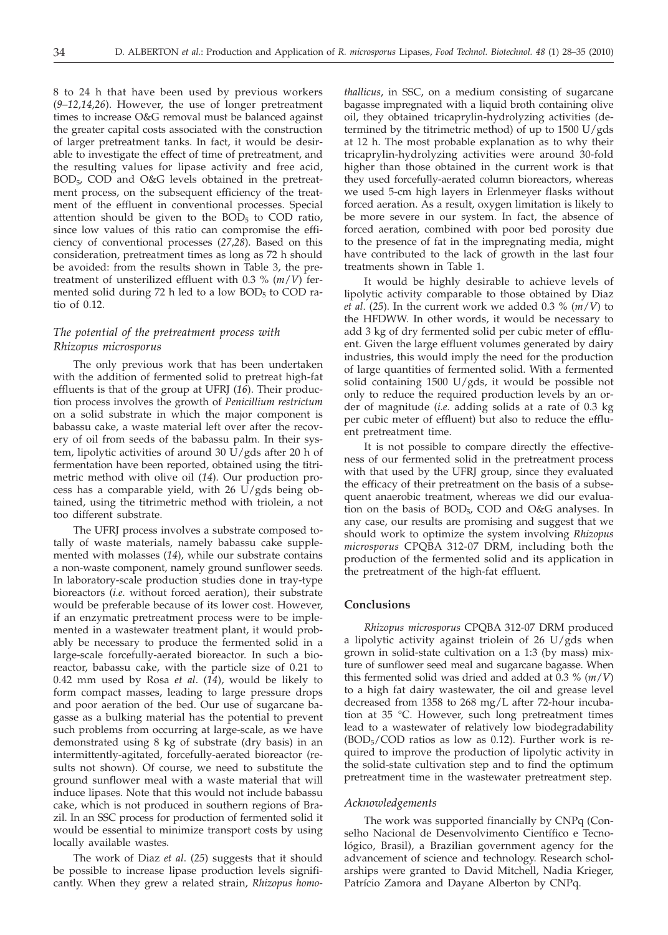8 to 24 h that have been used by previous workers (*9*–*12*,*14*,*26*). However, the use of longer pretreatment times to increase O&G removal must be balanced against the greater capital costs associated with the construction of larger pretreatment tanks. In fact, it would be desirable to investigate the effect of time of pretreatment, and the resulting values for lipase activity and free acid,  $BOD_{5}$ , COD and O&G levels obtained in the pretreatment process, on the subsequent efficiency of the treatment of the effluent in conventional processes. Special attention should be given to the  $BOD<sub>5</sub>$  to COD ratio, since low values of this ratio can compromise the efficiency of conventional processes (*27*,*28*). Based on this consideration, pretreatment times as long as 72 h should be avoided: from the results shown in Table 3, the pretreatment of unsterilized effluent with 0.3 % (*m*/*V*) fermented solid during 72 h led to a low  $BOD<sub>5</sub>$  to COD ratio of 0.12.

## *The potential of the pretreatment process with Rhizopus microsporus*

The only previous work that has been undertaken with the addition of fermented solid to pretreat high-fat effluents is that of the group at UFRJ (*16*). Their production process involves the growth of *Penicillium restrictum* on a solid substrate in which the major component is babassu cake, a waste material left over after the recovery of oil from seeds of the babassu palm. In their system, lipolytic activities of around 30 U/gds after 20 h of fermentation have been reported, obtained using the titrimetric method with olive oil (*14*). Our production process has a comparable yield, with 26  $U/gds$  being obtained, using the titrimetric method with triolein, a not too different substrate.

The UFRJ process involves a substrate composed totally of waste materials, namely babassu cake supplemented with molasses (*14*), while our substrate contains a non-waste component, namely ground sunflower seeds. In laboratory-scale production studies done in tray-type bioreactors (*i.e.* without forced aeration), their substrate would be preferable because of its lower cost. However, if an enzymatic pretreatment process were to be implemented in a wastewater treatment plant, it would probably be necessary to produce the fermented solid in a large-scale forcefully-aerated bioreactor. In such a bioreactor, babassu cake, with the particle size of 0.21 to 0.42 mm used by Rosa *et al*. (*14*), would be likely to form compact masses, leading to large pressure drops and poor aeration of the bed. Our use of sugarcane bagasse as a bulking material has the potential to prevent such problems from occurring at large-scale, as we have demonstrated using 8 kg of substrate (dry basis) in an intermittently-agitated, forcefully-aerated bioreactor (results not shown). Of course, we need to substitute the ground sunflower meal with a waste material that will induce lipases. Note that this would not include babassu cake, which is not produced in southern regions of Brazil. In an SSC process for production of fermented solid it would be essential to minimize transport costs by using locally available wastes.

The work of Diaz *et al*. (*25*) suggests that it should be possible to increase lipase production levels significantly. When they grew a related strain, *Rhizopus homo-*

*thallicus*, in SSC, on a medium consisting of sugarcane bagasse impregnated with a liquid broth containing olive oil, they obtained tricaprylin-hydrolyzing activities (determined by the titrimetric method) of up to 1500 U/gds at 12 h. The most probable explanation as to why their tricaprylin-hydrolyzing activities were around 30-fold higher than those obtained in the current work is that they used forcefully-aerated column bioreactors, whereas we used 5-cm high layers in Erlenmeyer flasks without forced aeration. As a result, oxygen limitation is likely to be more severe in our system. In fact, the absence of forced aeration, combined with poor bed porosity due to the presence of fat in the impregnating media, might have contributed to the lack of growth in the last four treatments shown in Table 1.

It would be highly desirable to achieve levels of lipolytic activity comparable to those obtained by Diaz *et al*. (*25*). In the current work we added 0.3 *%* (*m*/*V*) to the HFDWW. In other words, it would be necessary to add 3 kg of dry fermented solid per cubic meter of effluent. Given the large effluent volumes generated by dairy industries, this would imply the need for the production of large quantities of fermented solid. With a fermented solid containing 1500 U/gds, it would be possible not only to reduce the required production levels by an order of magnitude (*i.e.* adding solids at a rate of 0.3 kg per cubic meter of effluent) but also to reduce the effluent pretreatment time.

It is not possible to compare directly the effectiveness of our fermented solid in the pretreatment process with that used by the UFRJ group, since they evaluated the efficacy of their pretreatment on the basis of a subsequent anaerobic treatment, whereas we did our evaluation on the basis of BOD<sub>5</sub>, COD and O&G analyses. In any case, our results are promising and suggest that we should work to optimize the system involving *Rhizopus microsporus* CPQBA 312-07 DRM, including both the production of the fermented solid and its application in the pretreatment of the high-fat effluent.

## **Conclusions**

*Rhizopus microsporus* CPQBA 312-07 DRM produced a lipolytic activity against triolein of 26 U/gds when grown in solid-state cultivation on a 1:3 (by mass) mixture of sunflower seed meal and sugarcane bagasse. When this fermented solid was dried and added at 0.3 *%* (*m*/*V*) to a high fat dairy wastewater, the oil and grease level decreased from 1358 to 268 mg/L after 72-hour incubation at 35 °C. However, such long pretreatment times lead to a wastewater of relatively low biodegradability  $(BOD<sub>5</sub>/COD)$  ratios as low as 0.12). Further work is required to improve the production of lipolytic activity in the solid-state cultivation step and to find the optimum pretreatment time in the wastewater pretreatment step.

#### *Acknowledgements*

The work was supported financially by CNPq (Conselho Nacional de Desenvolvimento Científico e Tecnológico, Brasil), a Brazilian government agency for the advancement of science and technology. Research scholarships were granted to David Mitchell, Nadia Krieger, Patrício Zamora and Dayane Alberton by CNPq.